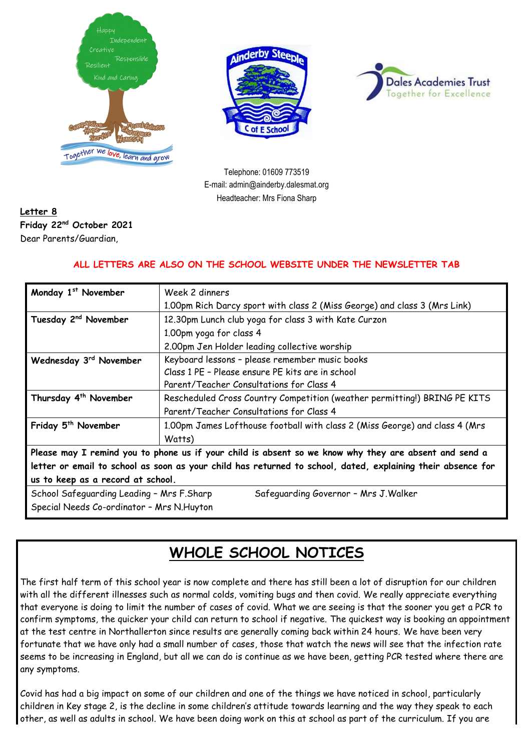





Telephone: 01609 773519 E-mail: admin@ainderby.dalesmat.org Headteacher: Mrs Fiona Sharp

#### **Letter 8 Friday 22nd October 2021** Dear Parents/Guardian,

#### **ALL LETTERS ARE ALSO ON THE SCHOOL WEBSITE UNDER THE NEWSLETTER TAB**

| Monday 1st November                                                                | Week 2 dinners                                                                                              |  |
|------------------------------------------------------------------------------------|-------------------------------------------------------------------------------------------------------------|--|
|                                                                                    | 1.00pm Rich Darcy sport with class 2 (Miss George) and class 3 (Mrs Link)                                   |  |
| Tuesday 2 <sup>nd</sup> November                                                   | 12.30pm Lunch club yoga for class 3 with Kate Curzon                                                        |  |
|                                                                                    | 1.00pm yoga for class 4                                                                                     |  |
|                                                                                    | 2.00pm Jen Holder leading collective worship                                                                |  |
| Wednesday 3rd November                                                             | Keyboard lessons - please remember music books                                                              |  |
|                                                                                    | Class 1 PE - Please ensure PE kits are in school                                                            |  |
|                                                                                    | Parent/Teacher Consultations for Class 4                                                                    |  |
| Thursday 4 <sup>th</sup> November                                                  | Rescheduled Cross Country Competition (weather permitting!) BRING PE KITS                                   |  |
|                                                                                    | Parent/Teacher Consultations for Class 4                                                                    |  |
| Friday 5 <sup>th</sup> November                                                    | 1.00pm James Lofthouse football with class 2 (Miss George) and class 4 (Mrs                                 |  |
|                                                                                    | Watts)                                                                                                      |  |
|                                                                                    | Please may I remind you to phone us if your child is absent so we know why they are absent and send a       |  |
|                                                                                    | letter or email to school as soon as your child has returned to school, dated, explaining their absence for |  |
|                                                                                    | us to keep as a record at school.                                                                           |  |
| School Safeguarding Leading - Mrs F.Sharp<br>Safeguarding Governor - Mrs J. Walker |                                                                                                             |  |
| Special Needs Co-ordinator - Mrs N. Huyton                                         |                                                                                                             |  |

# **WHOLE SCHOOL NOTICES**

The first half term of this school year is now complete and there has still been a lot of disruption for our children with all the different illnesses such as normal colds, vomiting bugs and then covid. We really appreciate everything that everyone is doing to limit the number of cases of covid. What we are seeing is that the sooner you get a PCR to confirm symptoms, the quicker your child can return to school if negative. The quickest way is booking an appointment at the test centre in Northallerton since results are generally coming back within 24 hours. We have been very fortunate that we have only had a small number of cases, those that watch the news will see that the infection rate seems to be increasing in England, but all we can do is continue as we have been, getting PCR tested where there are any symptoms.

Covid has had a big impact on some of our children and one of the things we have noticed in school, particularly children in Key stage 2, is the decline in some children's attitude towards learning and the way they speak to each other, as well as adults in school. We have been doing work on this at school as part of the curriculum. If you are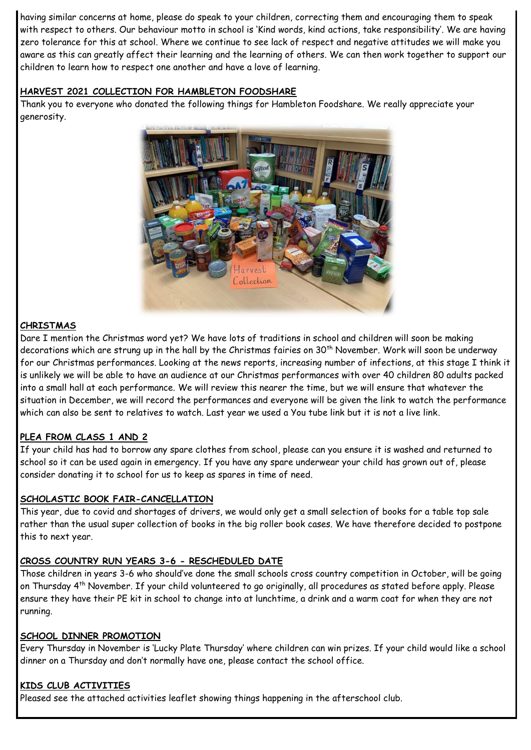having similar concerns at home, please do speak to your children, correcting them and encouraging them to speak with respect to others. Our behaviour motto in school is 'Kind words, kind actions, take responsibility'. We are having zero tolerance for this at school. Where we continue to see lack of respect and negative attitudes we will make you aware as this can greatly affect their learning and the learning of others. We can then work together to support our children to learn how to respect one another and have a love of learning.

#### **HARVEST 2021 COLLECTION FOR HAMBLETON FOODSHARE**

Thank you to everyone who donated the following things for Hambleton Foodshare. We really appreciate your generosity.



#### **CHRISTMAS**

Dare I mention the Christmas word yet? We have lots of traditions in school and children will soon be making decorations which are strung up in the hall by the Christmas fairies on 30<sup>th</sup> November. Work will soon be underway for our Christmas performances. Looking at the news reports, increasing number of infections, at this stage I think it is unlikely we will be able to have an audience at our Christmas performances with over 40 children 80 adults packed into a small hall at each performance. We will review this nearer the time, but we will ensure that whatever the situation in December, we will record the performances and everyone will be given the link to watch the performance which can also be sent to relatives to watch. Last year we used a You tube link but it is not a live link.

### **PLEA FROM CLASS 1 AND 2**

If your child has had to borrow any spare clothes from school, please can you ensure it is washed and returned to school so it can be used again in emergency. If you have any spare underwear your child has grown out of, please consider donating it to school for us to keep as spares in time of need.

#### **SCHOLASTIC BOOK FAIR-CANCELLATION**

This year, due to covid and shortages of drivers, we would only get a small selection of books for a table top sale rather than the usual super collection of books in the big roller book cases. We have therefore decided to postpone this to next year.

#### **CROSS COUNTRY RUN YEARS 3-6 - RESCHEDULED DATE**

Those children in years 3-6 who should've done the small schools cross country competition in October, will be going on Thursday 4th November. If your child volunteered to go originally, all procedures as stated before apply. Please ensure they have their PE kit in school to change into at lunchtime, a drink and a warm coat for when they are not running.

#### **SCHOOL DINNER PROMOTION**

Every Thursday in November is 'Lucky Plate Thursday' where children can win prizes. If your child would like a school dinner on a Thursday and don't normally have one, please contact the school office.

#### **KIDS CLUB ACTIVITIES**

Pleased see the attached activities leaflet showing things happening in the afterschool club.